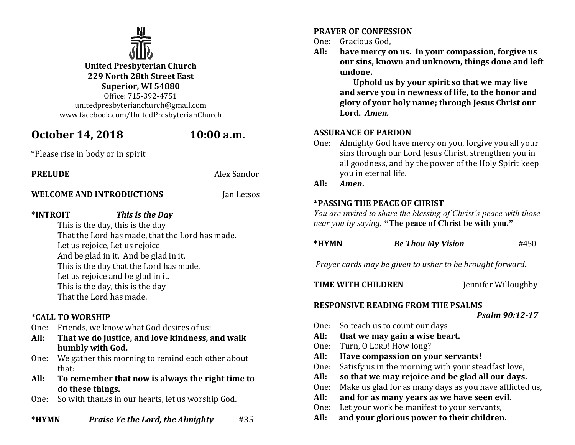

# **October 14, 2018 10:00 a.m.**

\*Please rise in body or in spirit

## **PRELUDE** Alex Sandor

**WELCOME AND INTRODUCTIONS** Jan Letsos

## **\*INTROIT** *This is the Day*

This is the day, this is the day That the Lord has made, that the Lord has made. Let us rejoice, Let us rejoice And be glad in it. And be glad in it. This is the day that the Lord has made, Let us rejoice and be glad in it. This is the day, this is the day That the Lord has made.

## **\*CALL TO WORSHIP**

- One: Friends, we know what God desires of us:
- **All: That we do justice, and love kindness, and walk humbly with God.**
- One: We gather this morning to remind each other about that:
- **All: To remember that now is always the right time to do these things.**
- One: So with thanks in our hearts, let us worship God.
- **\*HYMN** *Praise Ye the Lord, the Almighty* #35

## **PRAYER OF CONFESSION**

- One: Gracious God,
- **All: have mercy on us. In your compassion, forgive us our sins, known and unknown, things done and left undone.**

 **Uphold us by your spirit so that we may live and serve you in newness of life, to the honor and glory of your holy name; through Jesus Christ our Lord.** *Amen.*

## **ASSURANCE OF PARDON**

One: Almighty God have mercy on you, forgive you all your sins through our Lord Jesus Christ, strengthen you in all goodness, and by the power of the Holy Spirit keep you in eternal life.

#### **All:** *Amen***.**

## **\*PASSING THE PEACE OF CHRIST**

*You are invited to share the blessing of Christ's peace with those near you by saying,* **"The peace of Christ be with you."**

| *HYMN | <b>Be Thou My Vision</b> | #450 |
|-------|--------------------------|------|
|-------|--------------------------|------|

*Prayer cards may be given to usher to be brought forward.*

**TIME WITH CHILDREN** *Jennifer Willoughby* 

## **RESPONSIVE READING FROM THE PSALMS**

*Psalm 90:12-17*

- One: So teach us to count our days
- **All: that we may gain a wise heart.**
- One: Turn, O LORD! How long?
- **All: Have compassion on your servants!**
- One: Satisfy us in the morning with your steadfast love,
- **All: so that we may rejoice and be glad all our days.**
- One: Make us glad for as many days as you have afflicted us,
- **All: and for as many years as we have seen evil.**
- One: Let your work be manifest to your servants,
- **All:****and your glorious power to their children.**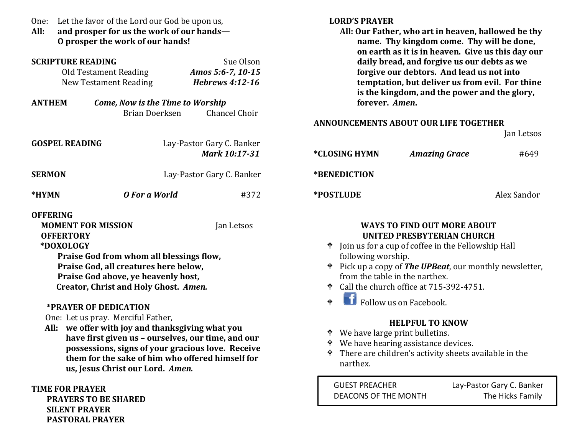| Let the favor of the Lord our God be upon us,<br>One:<br>All:<br>and prosper for us the work of our hands-<br>O prosper the work of our hands! |                                                                                                                                                                                                                                                                                                                                                                                                                          |                                                                           | <b>LORD'S PRAYER</b><br>All: Our Father, who art in heaven, hallowed be thy<br>name. Thy kingdom come. Thy will be done,<br>on earth as it is in heaven. Give us this day our                                                                          |                                                                                                                                                                                                                                                                                                                                                                                                                                                                                                            |                           |
|------------------------------------------------------------------------------------------------------------------------------------------------|--------------------------------------------------------------------------------------------------------------------------------------------------------------------------------------------------------------------------------------------------------------------------------------------------------------------------------------------------------------------------------------------------------------------------|---------------------------------------------------------------------------|--------------------------------------------------------------------------------------------------------------------------------------------------------------------------------------------------------------------------------------------------------|------------------------------------------------------------------------------------------------------------------------------------------------------------------------------------------------------------------------------------------------------------------------------------------------------------------------------------------------------------------------------------------------------------------------------------------------------------------------------------------------------------|---------------------------|
| <b>SCRIPTURE READING</b><br><b>Old Testament Reading</b><br><b>New Testament Reading</b><br><b>ANTHEM</b>                                      | Come, Now is the Time to Worship<br>Brian Doerksen                                                                                                                                                                                                                                                                                                                                                                       | Sue Olson<br>Amos 5:6-7, 10-15<br><b>Hebrews 4:12-16</b><br>Chancel Choir | daily bread, and forgive us our debts as we<br>forgive our debtors. And lead us not into<br>temptation, but deliver us from evil. For thine<br>is the kingdom, and the power and the glory,<br>forever. Amen.<br>ANNOUNCEMENTS ABOUT OUR LIFE TOGETHER |                                                                                                                                                                                                                                                                                                                                                                                                                                                                                                            |                           |
| <b>GOSPEL READING</b>                                                                                                                          |                                                                                                                                                                                                                                                                                                                                                                                                                          | Lay-Pastor Gary C. Banker<br>Mark 10:17-31                                | *CLOSING HYMN                                                                                                                                                                                                                                          | <b>Amazing Grace</b>                                                                                                                                                                                                                                                                                                                                                                                                                                                                                       | Jan Letsos<br>#649        |
| <b>SERMON</b><br>Lay-Pastor Gary C. Banker                                                                                                     |                                                                                                                                                                                                                                                                                                                                                                                                                          |                                                                           | *BENEDICTION                                                                                                                                                                                                                                           |                                                                                                                                                                                                                                                                                                                                                                                                                                                                                                            |                           |
| *HYMN                                                                                                                                          | O For a World                                                                                                                                                                                                                                                                                                                                                                                                            | #372                                                                      | *POSTLUDE                                                                                                                                                                                                                                              |                                                                                                                                                                                                                                                                                                                                                                                                                                                                                                            | Alex Sandor               |
| <b>OFFERING</b><br><b>MOMENT FOR MISSION</b><br><b>OFFERTORY</b><br>*DOXOLOGY<br>*PRAYER OF DEDICATION<br>One: Let us pray. Merciful Father,   | Praise God from whom all blessings flow,<br>Praise God, all creatures here below,<br>Praise God above, ye heavenly host,<br>Creator, Christ and Holy Ghost. Amen.<br>All: we offer with joy and thanksgiving what you<br>have first given us - ourselves, our time, and our<br>possessions, signs of your gracious love. Receive<br>them for the sake of him who offered himself for<br>us, Jesus Christ our Lord. Amen. | Jan Letsos                                                                | following worship.<br>$\ddot{\Phi}$<br>♦ We have large print bulletins.<br>narthex.                                                                                                                                                                    | <b>WAYS TO FIND OUT MORE ABOUT</b><br><b>UNITED PRESBYTERIAN CHURCH</b><br><sup><math>\bullet</math></sup> Join us for a cup of coffee in the Fellowship Hall<br><sup><math>\bullet</math></sup> Pick up a copy of <b>The UPBeat</b> , our monthly newsletter,<br>from the table in the narthex.<br>Call the church office at 715-392-4751.<br><b>f</b> Follow us on Facebook.<br><b>HELPFUL TO KNOW</b><br>♦ We have hearing assistance devices.<br>There are children's activity sheets available in the |                           |
| <b>TIME FOR PRAYER</b>                                                                                                                         |                                                                                                                                                                                                                                                                                                                                                                                                                          |                                                                           | <b>GUEST PREACHER</b>                                                                                                                                                                                                                                  |                                                                                                                                                                                                                                                                                                                                                                                                                                                                                                            | Lay-Pastor Gary C. Banker |

 **PRAYERS TO BE SHARED**

 **SILENT PRAYER PASTORAL PRAYER**

Lay-Pastor Gary C. Banker DEACONS OF THE MONTH The Hicks Family

j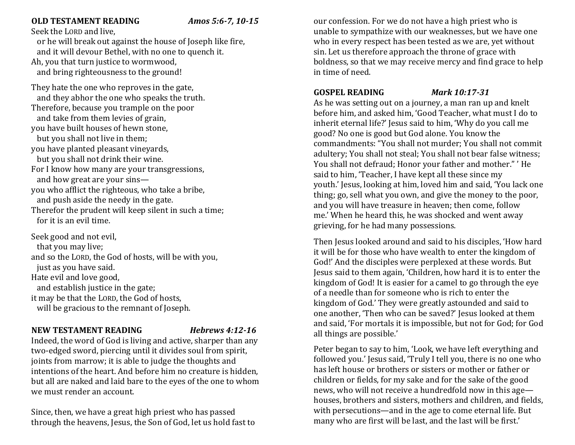## **OLD TESTAMENT READING** *Amos 5:6-7, 10-15*

#### Seek the LORD and live,

 or he will break out against the house of Joseph like fire, and it will devour Bethel, with no one to quench it. Ah, you that turn justice to wormwood, and bring righteousness to the ground!

They hate the one who reproves in the gate, and they abhor the one who speaks the truth. Therefore, because you trample on the poor and take from them levies of grain, you have built houses of hewn stone, but you shall not live in them; you have planted pleasant vineyards, but you shall not drink their wine. For I know how many are your transgressions, and how great are your sins you who afflict the righteous, who take a bribe, and push aside the needy in the gate. Therefor the prudent will keep silent in such a time; for it is an evil time.

Seek good and not evil, that you may live; and so the LORD, the God of hosts, will be with you, just as you have said. Hate evil and love good, and establish justice in the gate; it may be that the LORD, the God of hosts, will be gracious to the remnant of Joseph.

#### **NEW TESTAMENT READING** *Hebrews 4:12-16*

Indeed, the word of God is living and active, sharper than any two-edged sword, piercing until it divides soul from spirit, joints from marrow; it is able to judge the thoughts and intentions of the heart. And before him no creature is hidden, but all are naked and laid bare to the eyes of the one to whom we must render an account.

Since, then, we have a great high priest who has passed through the heavens, Jesus, the Son of God, let us hold fast to

our confession. For we do not have a high priest who is unable to sympathize with our weaknesses, but we have one who in every respect has been tested as we are, yet without sin. Let us therefore approach the throne of grace with boldness, so that we may receive mercy and find grace to help in time of need.

#### **GOSPEL READING** *Mark 10:17-31*

As he was setting out on a journey, a man ran up and knelt before him, and asked him, 'Good Teacher, what must I do to inherit eternal life?' Jesus said to him, 'Why do you call me good? No one is good but God alone. You know the commandments: "You shall not murder; You shall not commit adultery; You shall not steal; You shall not bear false witness; You shall not defraud; Honor your father and mother." ' He said to him, 'Teacher, I have kept all these since my youth.' Jesus, looking at him, loved him and said, 'You lack one thing; go, sell what you own, and give the money to the poor, and you will have treasure in heaven; then come, follow me.' When he heard this, he was shocked and went away grieving, for he had many possessions.

Then Jesus looked around and said to his disciples, 'How hard it will be for those who have wealth to enter the kingdom of God!' And the disciples were perplexed at these words. But Jesus said to them again, 'Children, how hard it is to enter the kingdom of God! It is easier for a camel to go through the eye of a needle than for someone who is rich to enter the kingdom of God.' They were greatly astounded and said to one another, 'Then who can be saved?' Jesus looked at them and said, 'For mortals it is impossible, but not for God; for God all things are possible.'

Peter began to say to him, 'Look, we have left everything and followed you.' Jesus said, 'Truly I tell you, there is no one who has left house or brothers or sisters or mother or father or children or fields, for my sake and for the sake of the good news, who will not receive a hundredfold now in this age houses, brothers and sisters, mothers and children, and fields, with persecutions—and in the age to come eternal life. But many who are first will be last, and the last will be first.'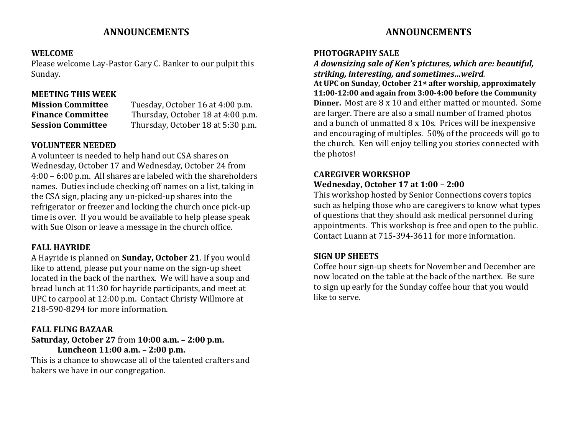## **ANNOUNCEMENTS**

#### **WELCOME**

Please welcome Lay-Pastor Gary C. Banker to our pulpit this Sunday.

### **MEETING THIS WEEK**

**Mission Committee** Tuesday, October 16 at 4:00 p.m. **Finance Committee** Thursday, October 18 at 4:00 p.m. **Session Committee** Thursday, October 18 at 5:30 p.m.

### **VOLUNTEER NEEDED**

A volunteer is needed to help hand out CSA shares on Wednesday, October 17 and Wednesday, October 24 from 4:00 – 6:00 p.m. All shares are labeled with the shareholders names. Duties include checking off names on a list, taking in the CSA sign, placing any un-picked-up shares into the refrigerator or freezer and locking the church once pick-up time is over. If you would be available to help please speak with Sue Olson or leave a message in the church office.

#### **FALL HAYRIDE**

A Hayride is planned on **Sunday, October 21**. If you would like to attend, please put your name on the sign-up sheet located in the back of the narthex. We will have a soup and bread lunch at 11:30 for hayride participants, and meet at UPC to carpool at 12:00 p.m. Contact Christy Willmore at 218-590-8294 for more information.

#### **FALL FLING BAZAAR**

**Saturday, October 27** from **10:00 a.m. – 2:00 p.m. Luncheon 11:00 a.m. – 2:00 p.m.** This is a chance to showcase all of the talented crafters and bakers we have in our congregation.

## **ANNOUNCEMENTS**

#### **PHOTOGRAPHY SALE**

*A downsizing sale of Ken's pictures, which are: beautiful, striking, interesting, and sometimes…weird.* **At UPC on Sunday, October 21st after worship, approximately 11:00-12:00 and again from 3:00-4:00 before the Community Dinner.** Most are 8 x 10 and either matted or mounted. Some are larger. There are also a small number of framed photos and a bunch of unmatted 8 x 10s. Prices will be inexpensive and encouraging of multiples. 50% of the proceeds will go to the church. Ken will enjoy telling you stories connected with the photos!

## **CAREGIVER WORKSHOP**

#### **Wednesday, October 17 at 1:00 – 2:00**

This workshop hosted by Senior Connections covers topics such as helping those who are caregivers to know what types of questions that they should ask medical personnel during appointments. This workshop is free and open to the public. Contact Luann at 715-394-3611 for more information.

#### **SIGN UP SHEETS**

Coffee hour sign-up sheets for November and December are now located on the table at the back of the narthex. Be sure to sign up early for the Sunday coffee hour that you would like to serve.